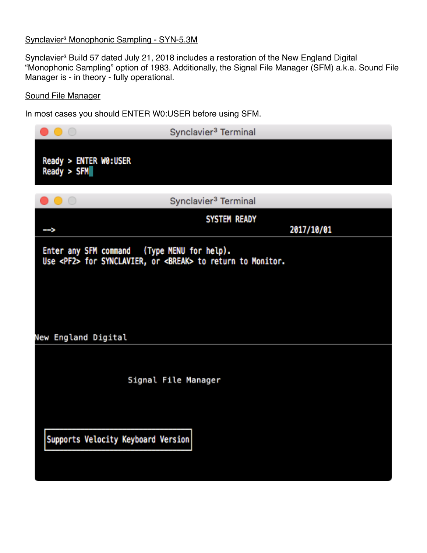## Synclavier<sup>3</sup> Monophonic Sampling - SYN-5.3M

Synclavier<sup>3</sup> Build 57 dated July 21, 2018 includes a restoration of the New England Digital "Monophonic Sampling" option of 1983. Additionally, the Signal File Manager (SFM) a.k.a. Sound File Manager is - in theory - fully operational.

## Sound File Manager

In most cases you should ENTER W0:USER before using SFM.

| $\circ$ $\circ$                                                    | Synclavier <sup>3</sup> Terminal                                         |
|--------------------------------------------------------------------|--------------------------------------------------------------------------|
| Ready > ENTER W0:USER<br>Ready > SFM                               |                                                                          |
|                                                                    | Synclavier <sup>3</sup> Terminal                                         |
|                                                                    | <b>SYSTEM READY</b><br>2017/10/01                                        |
| Enter any SFM command (Type MENU for help).<br>New England Digital | Use <pf2> for SYNCLAVIER, or <break> to return to Monitor.</break></pf2> |
|                                                                    | Signal File Manager                                                      |
| Supports Velocity Keyboard Version                                 |                                                                          |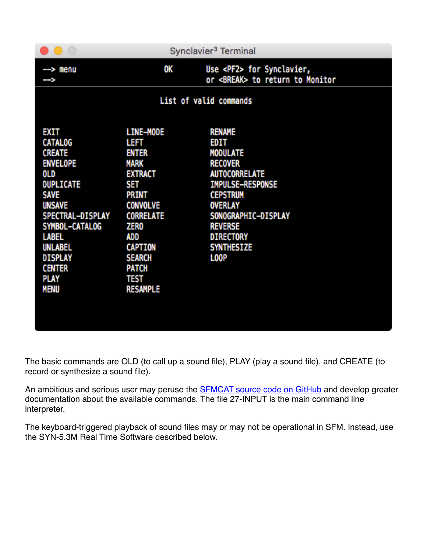| $\left(\begin{array}{c} \end{array}\right)$                                                                                                                                                                                                                    |                                                                                                                                                                                                                                                    | Synclavier <sup>3</sup> Terminal                                                                                                                                                                                                                           |
|----------------------------------------------------------------------------------------------------------------------------------------------------------------------------------------------------------------------------------------------------------------|----------------------------------------------------------------------------------------------------------------------------------------------------------------------------------------------------------------------------------------------------|------------------------------------------------------------------------------------------------------------------------------------------------------------------------------------------------------------------------------------------------------------|
| --> menu<br>-->                                                                                                                                                                                                                                                | OK                                                                                                                                                                                                                                                 | Use <pf2> for Synclavier,<br/>or <break> to return to Monitor</break></pf2>                                                                                                                                                                                |
|                                                                                                                                                                                                                                                                |                                                                                                                                                                                                                                                    | List of valid commands                                                                                                                                                                                                                                     |
| EXIT<br><b>CATALOG</b><br><b>CREATE</b><br><b>ENVELOPE</b><br>0LD<br><b>DUPLICATE</b><br><b>SAVE</b><br><b>UNSAVE</b><br>SPECTRAL-DISPLAY<br>SYMBOL-CATALOG<br><b>LABEL</b><br><b>UNLABEL</b><br><b>DISPLAY</b><br><b>CENTER</b><br><b>PLAY</b><br><b>MENU</b> | <b>LINE-MODE</b><br>LEFT<br><b>ENTER</b><br><b>MARK</b><br><b>EXTRACT</b><br>SET<br><b>PRINT</b><br><b>CONVOLVE</b><br><b>CORRELATE</b><br><b>ZERO</b><br>ADD<br><b>CAPTION</b><br><b>SEARCH</b><br><b>PATCH</b><br><b>TEST</b><br><b>RESAMPLE</b> | <b>RENAME</b><br><b>EDIT</b><br><b>MODULATE</b><br><b>RECOVER</b><br><b>AUTOCORRELATE</b><br><b>IMPULSE-RESPONSE</b><br><b>CEPSTRUM</b><br><b>OVERLAY</b><br>SONOGRAPHIC-DISPLAY<br><b>REVERSE</b><br><b>DIRECTORY</b><br><b>SYNTHESIZE</b><br><b>LOOP</b> |

The basic commands are OLD (to call up a sound file), PLAY (play a sound file), and CREATE (to record or synthesize a sound file).

An ambitious and serious user may peruse the **SFMCAT** source code on GitHub and develop greater documentation about the available commands. The file 27-INPUT is the main command line interpreter.

The keyboard-triggered playback of sound files may or may not be operational in SFM. Instead, use the SYN-5.3M Real Time Software described below.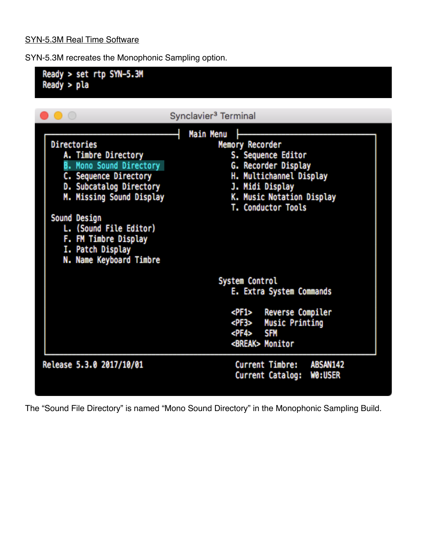## SYN-5.3M Real Time Software

SYN-5.3M recreates the Monophonic Sampling option.



The "Sound File Directory" is named "Mono Sound Directory" in the Monophonic Sampling Build.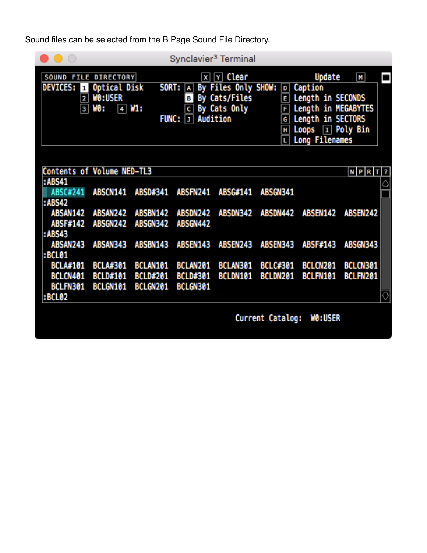Sound files can be selected from the B Page Sound File Directory.

|                                                                    |                                                                          |                                         | Synclavier <sup>3</sup> Terminal        |                                                                                                                |                             |                                                                                                                                      |                      |   |  |  |  |
|--------------------------------------------------------------------|--------------------------------------------------------------------------|-----------------------------------------|-----------------------------------------|----------------------------------------------------------------------------------------------------------------|-----------------------------|--------------------------------------------------------------------------------------------------------------------------------------|----------------------|---|--|--|--|
| SOUND<br><b>DEVICES:</b><br>$\mathbf{1}$<br>2<br>3                 | <b>FILE DIRECTORY</b><br>Optical Disk<br><b>WO:USER</b><br>W0 :<br>4 W1: | SORT:<br><b>FUNC:</b>                   | A<br>в<br>$\mathsf{c}$<br>J             | $\overline{x}$ $\overline{y}$ Clear<br>By Files Only SHOW:<br>By Cats/Files<br>By Cats Only<br><b>Audition</b> | E<br>F<br>G<br>н<br>L.      | Update<br>D Caption<br>Length in SECONDS<br>Length in MEGABYTES<br>Length in SECTORS<br>Loops $\boxed{1}$ Poly Bin<br>Long Filenames | M                    | ▬ |  |  |  |
| Contents of Volume NED-TL3<br>:ABS41<br>ABSC#241<br><b>: ABS42</b> | <b>ABSCN141</b>                                                          | ABSD#341                                | ABSFN241                                | ABSG#141                                                                                                       | <b>ABSGN341</b>             |                                                                                                                                      | NPRT?                | ♤ |  |  |  |
| ABSAN142<br><b>ABSF#142</b><br>: ABS43                             | ABSAN242<br><b>ABSGN242</b>                                              | <b>ABSBN142</b><br><b>ABSGN342</b>      | ABSDN242<br>ABSGN442                    | <b>ABSDN342</b>                                                                                                | <b>ABSDN442</b>             | <b>ABSEN142</b>                                                                                                                      | <b>ABSEN242</b>      |   |  |  |  |
| ABSAN243<br><b>:BCL01</b>                                          | ABSAN343                                                                 | <b>ABSBN143</b>                         | <b>ABSEN143</b>                         | <b>ABSEN243</b>                                                                                                | <b>ABSEN343</b>             | <b>ABSF#143</b>                                                                                                                      | <b>ABSGN343</b>      |   |  |  |  |
| <b>BCLA#101</b><br>BCLCN401<br>BCLFN301<br><b>:BCL02</b>           | <b>BCLA#301</b><br><b>BCLD#101</b><br>BCLGN101                           | BCLAN101<br><b>BCLD#201</b><br>BCLGN201 | BCLAN201<br><b>BCLD#301</b><br>BCLGN301 | BCLAN301<br>BCLDN101                                                                                           | <b>BCLC#301</b><br>BCLDN201 | BCLCN201<br>BCLFN101                                                                                                                 | BCLCN301<br>BCLFN201 | ₹ |  |  |  |
| Current Catalog:<br>WO:USER                                        |                                                                          |                                         |                                         |                                                                                                                |                             |                                                                                                                                      |                      |   |  |  |  |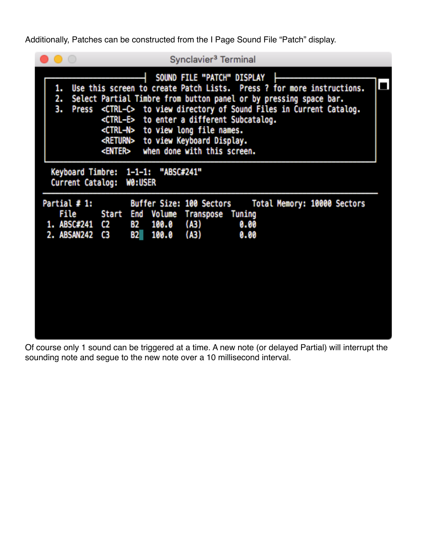Additionally, Patches can be constructed from the I Page Sound File "Patch" display.

|                                                           | Synclavier <sup>3</sup> Terminal                                                                                                                                                                                                                                                                                                                                                                                                                             |
|-----------------------------------------------------------|--------------------------------------------------------------------------------------------------------------------------------------------------------------------------------------------------------------------------------------------------------------------------------------------------------------------------------------------------------------------------------------------------------------------------------------------------------------|
| 1.<br>2.<br>з.<br><b>Press</b>                            | SOUND FILE "PATCH" DISPLAY<br>Use this screen to create Patch Lists. Press ? for more instructions.<br>Select Partial Timbre from button panel or by pressing space bar.<br><ctrl-c> to view directory of Sound Files in Current Catalog.<br/><ctrl-e> to enter a different Subcatalog.<br/><ctrl-n> to view long file names.<br/><return> to view Keyboard Display.<br/>when done with this screen.<br/><enter></enter></return></ctrl-n></ctrl-e></ctrl-c> |
| Current Catalog:                                          | Keyboard Timbre: 1-1-1: "ABSC#241"<br><b>WO:USER</b>                                                                                                                                                                                                                                                                                                                                                                                                         |
| Partial # 1:<br><b>File</b><br>1. ABSC#241<br>2. ABSAN242 | Buffer Size: 100 Sectors<br>Total Memory: 10000 Sectors<br>End Volume Transpose Tuning<br>Start<br>(A3)<br>0.00<br><b>B2</b><br>100.0<br>C2<br><b>B2</b><br>(A3)<br>100.0<br>0.00<br>C3                                                                                                                                                                                                                                                                      |

Of course only 1 sound can be triggered at a time. A new note (or delayed Partial) will interrupt the sounding note and segue to the new note over a 10 millisecond interval.